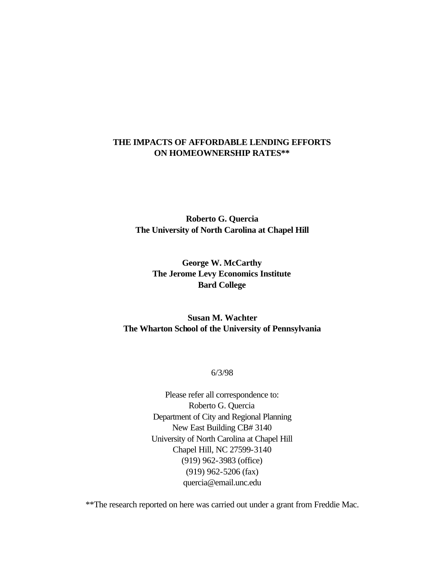## **THE IMPACTS OF AFFORDABLE LENDING EFFORTS ON HOMEOWNERSHIP RATES\*\***

**Roberto G. Quercia The University of North Carolina at Chapel Hill** 

**George W. McCarthy The Jerome Levy Economics Institute Bard College**

**Susan M. Wachter The Wharton School of the University of Pennsylvania**

6/3/98

Please refer all correspondence to: Roberto G. Quercia Department of City and Regional Planning New East Building CB# 3140 University of North Carolina at Chapel Hill Chapel Hill, NC 27599-3140 (919) 962-3983 (office) (919) 962-5206 (fax) quercia@email.unc.edu

\*\*The research reported on here was carried out under a grant from Freddie Mac.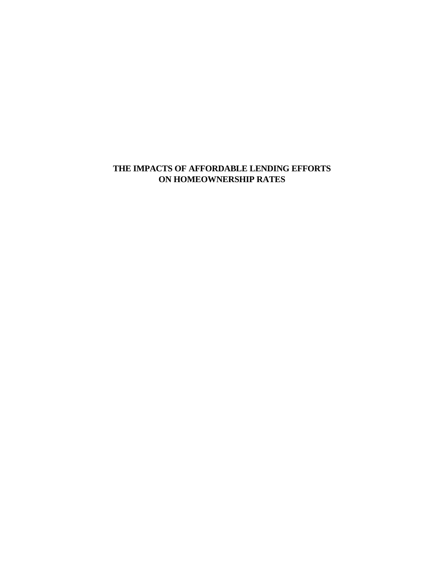# **THE IMPACTS OF AFFORDABLE LENDING EFFORTS ON HOMEOWNERSHIP RATES**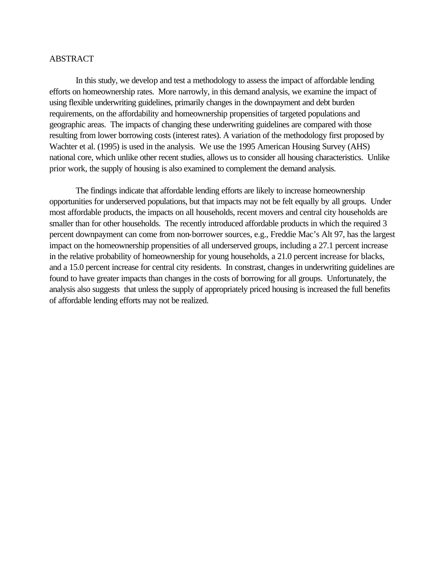## ABSTRACT

In this study, we develop and test a methodology to assess the impact of affordable lending efforts on homeownership rates. More narrowly, in this demand analysis, we examine the impact of using flexible underwriting guidelines, primarily changes in the downpayment and debt burden requirements, on the affordability and homeownership propensities of targeted populations and geographic areas. The impacts of changing these underwriting guidelines are compared with those resulting from lower borrowing costs (interest rates). A variation of the methodology first proposed by Wachter et al. (1995) is used in the analysis. We use the 1995 American Housing Survey (AHS) national core, which unlike other recent studies, allows us to consider all housing characteristics. Unlike prior work, the supply of housing is also examined to complement the demand analysis.

The findings indicate that affordable lending efforts are likely to increase homeownership opportunities for underserved populations, but that impacts may not be felt equally by all groups. Under most affordable products, the impacts on all households, recent movers and central city households are smaller than for other households. The recently introduced affordable products in which the required 3 percent downpayment can come from non-borrower sources, e.g., Freddie Mac's Alt 97, has the largest impact on the homeownership propensities of all underserved groups, including a 27.1 percent increase in the relative probability of homeownership for young households, a 21.0 percent increase for blacks, and a 15.0 percent increase for central city residents. In constrast, changes in underwriting guidelines are found to have greater impacts than changes in the costs of borrowing for all groups. Unfortunately, the analysis also suggests that unless the supply of appropriately priced housing is increased the full benefits of affordable lending efforts may not be realized.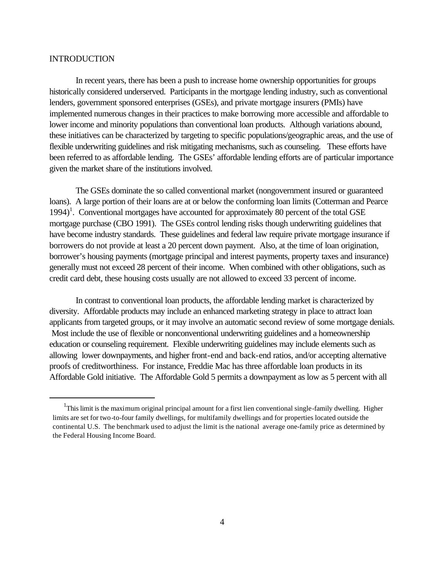## INTRODUCTION

 $\overline{a}$ 

In recent years, there has been a push to increase home ownership opportunities for groups historically considered underserved. Participants in the mortgage lending industry, such as conventional lenders, government sponsored enterprises (GSEs), and private mortgage insurers (PMIs) have implemented numerous changes in their practices to make borrowing more accessible and affordable to lower income and minority populations than conventional loan products. Although variations abound, these initiatives can be characterized by targeting to specific populations/geographic areas, and the use of flexible underwriting guidelines and risk mitigating mechanisms, such as counseling. These efforts have been referred to as affordable lending. The GSEs' affordable lending efforts are of particular importance given the market share of the institutions involved.

The GSEs dominate the so called conventional market (nongovernment insured or guaranteed loans). A large portion of their loans are at or below the conforming loan limits (Cotterman and Pearce 1994)<sup>1</sup>. Conventional mortgages have accounted for approximately 80 percent of the total GSE mortgage purchase (CBO 1991). The GSEs control lending risks though underwriting guidelines that have become industry standards. These guidelines and federal law require private mortgage insurance if borrowers do not provide at least a 20 percent down payment. Also, at the time of loan origination, borrower's housing payments (mortgage principal and interest payments, property taxes and insurance) generally must not exceed 28 percent of their income. When combined with other obligations, such as credit card debt, these housing costs usually are not allowed to exceed 33 percent of income.

In contrast to conventional loan products, the affordable lending market is characterized by diversity. Affordable products may include an enhanced marketing strategy in place to attract loan applicants from targeted groups, or it may involve an automatic second review of some mortgage denials. Most include the use of flexible or nonconventional underwriting guidelines and a homeownership education or counseling requirement. Flexible underwriting guidelines may include elements such as allowing lower downpayments, and higher front-end and back-end ratios, and/or accepting alternative proofs of creditworthiness. For instance, Freddie Mac has three affordable loan products in its Affordable Gold initiative. The Affordable Gold 5 permits a downpayment as low as 5 percent with all

<sup>&</sup>lt;sup>1</sup>This limit is the maximum original principal amount for a first lien conventional single-family dwelling. Higher limits are set for two-to-four family dwellings, for multifamily dwellings and for properties located outside the continental U.S. The benchmark used to adjust the limit is the national average one-family price as determined by the Federal Housing Income Board.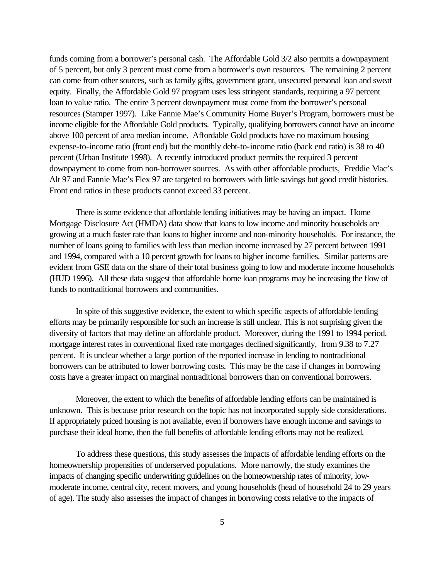funds coming from a borrower's personal cash. The Affordable Gold 3/2 also permits a downpayment of 5 percent, but only 3 percent must come from a borrower's own resources. The remaining 2 percent can come from other sources, such as family gifts, government grant, unsecured personal loan and sweat equity. Finally, the Affordable Gold 97 program uses less stringent standards, requiring a 97 percent loan to value ratio. The entire 3 percent downpayment must come from the borrower's personal resources (Stamper 1997). Like Fannie Mae's Community Home Buyer's Program, borrowers must be income eligible for the Affordable Gold products. Typically, qualifying borrowers cannot have an income above 100 percent of area median income. Affordable Gold products have no maximum housing expense-to-income ratio (front end) but the monthly debt-to-income ratio (back end ratio) is 38 to 40 percent (Urban Institute 1998). A recently introduced product permits the required 3 percent downpayment to come from non-borrower sources. As with other affordable products, Freddie Mac's Alt 97 and Fannie Mae's Flex 97 are targeted to borrowers with little savings but good credit histories. Front end ratios in these products cannot exceed 33 percent.

There is some evidence that affordable lending initiatives may be having an impact. Home Mortgage Disclosure Act (HMDA) data show that loans to low income and minority households are growing at a much faster rate than loans to higher income and non-minority households. For instance, the number of loans going to families with less than median income increased by 27 percent between 1991 and 1994, compared with a 10 percent growth for loans to higher income families. Similar patterns are evident from GSE data on the share of their total business going to low and moderate income households (HUD 1996). All these data suggest that affordable home loan programs may be increasing the flow of funds to nontraditional borrowers and communities.

In spite of this suggestive evidence, the extent to which specific aspects of affordable lending efforts may be primarily responsible for such an increase is still unclear. This is not surprising given the diversity of factors that may define an affordable product. Moreover, during the 1991 to 1994 period, mortgage interest rates in conventional fixed rate mortgages declined significantly, from 9.38 to 7.27 percent. It is unclear whether a large portion of the reported increase in lending to nontraditional borrowers can be attributed to lower borrowing costs. This may be the case if changes in borrowing costs have a greater impact on marginal nontraditional borrowers than on conventional borrowers.

Moreover, the extent to which the benefits of affordable lending efforts can be maintained is unknown. This is because prior research on the topic has not incorporated supply side considerations. If appropriately priced housing is not available, even if borrowers have enough income and savings to purchase their ideal home, then the full benefits of affordable lending efforts may not be realized.

To address these questions, this study assesses the impacts of affordable lending efforts on the homeownership propensities of underserved populations. More narrowly, the study examines the impacts of changing specific underwriting guidelines on the homeownership rates of minority, lowmoderate income, central city, recent movers, and young households (head of household 24 to 29 years of age). The study also assesses the impact of changes in borrowing costs relative to the impacts of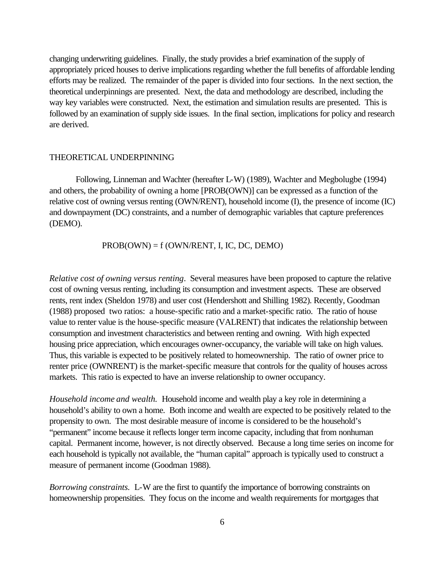changing underwriting guidelines. Finally, the study provides a brief examination of the supply of appropriately priced houses to derive implications regarding whether the full benefits of affordable lending efforts may be realized. The remainder of the paper is divided into four sections. In the next section, the theoretical underpinnings are presented. Next, the data and methodology are described, including the way key variables were constructed. Next, the estimation and simulation results are presented. This is followed by an examination of supply side issues. In the final section, implications for policy and research are derived.

## THEORETICAL UNDERPINNING

Following, Linneman and Wachter (hereafter L-W) (1989), Wachter and Megbolugbe (1994) and others, the probability of owning a home [PROB(OWN)] can be expressed as a function of the relative cost of owning versus renting (OWN/RENT), household income (I), the presence of income (IC) and downpayment (DC) constraints, and a number of demographic variables that capture preferences (DEMO).

 $PROB(OWN) = f(OWN/RENT, I, IC, DC, DEMO)$ 

*Relative cost of owning versus renting*. Several measures have been proposed to capture the relative cost of owning versus renting, including its consumption and investment aspects. These are observed rents, rent index (Sheldon 1978) and user cost (Hendershott and Shilling 1982). Recently, Goodman (1988) proposed two ratios: a house-specific ratio and a market-specific ratio. The ratio of house value to renter value is the house-specific measure (VALRENT) that indicates the relationship between consumption and investment characteristics and between renting and owning. With high expected housing price appreciation, which encourages owner-occupancy, the variable will take on high values. Thus, this variable is expected to be positively related to homeownership. The ratio of owner price to renter price (OWNRENT) is the market-specific measure that controls for the quality of houses across markets. This ratio is expected to have an inverse relationship to owner occupancy.

*Household income and wealth.* Household income and wealth play a key role in determining a household's ability to own a home. Both income and wealth are expected to be positively related to the propensity to own. The most desirable measure of income is considered to be the household's "permanent" income because it reflects longer term income capacity, including that from nonhuman capital. Permanent income, however, is not directly observed. Because a long time series on income for each household is typically not available, the "human capital" approach is typically used to construct a measure of permanent income (Goodman 1988).

*Borrowing constraints.* L-W are the first to quantify the importance of borrowing constraints on homeownership propensities. They focus on the income and wealth requirements for mortgages that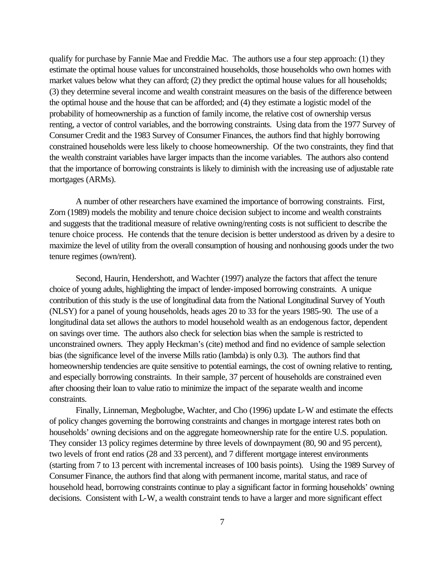qualify for purchase by Fannie Mae and Freddie Mac. The authors use a four step approach: (1) they estimate the optimal house values for unconstrained households, those households who own homes with market values below what they can afford; (2) they predict the optimal house values for all households; (3) they determine several income and wealth constraint measures on the basis of the difference between the optimal house and the house that can be afforded; and (4) they estimate a logistic model of the probability of homeownership as a function of family income, the relative cost of ownership versus renting, a vector of control variables, and the borrowing constraints. Using data from the 1977 Survey of Consumer Credit and the 1983 Survey of Consumer Finances, the authors find that highly borrowing constrained households were less likely to choose homeownership. Of the two constraints, they find that the wealth constraint variables have larger impacts than the income variables. The authors also contend that the importance of borrowing constraints is likely to diminish with the increasing use of adjustable rate mortgages (ARMs).

A number of other researchers have examined the importance of borrowing constraints. First, Zorn (1989) models the mobility and tenure choice decision subject to income and wealth constraints and suggests that the traditional measure of relative owning/renting costs is not sufficient to describe the tenure choice process. He contends that the tenure decision is better understood as driven by a desire to maximize the level of utility from the overall consumption of housing and nonhousing goods under the two tenure regimes (own/rent).

Second, Haurin, Hendershott, and Wachter (1997) analyze the factors that affect the tenure choice of young adults, highlighting the impact of lender-imposed borrowing constraints. A unique contribution of this study is the use of longitudinal data from the National Longitudinal Survey of Youth (NLSY) for a panel of young households, heads ages 20 to 33 for the years 1985-90. The use of a longitudinal data set allows the authors to model household wealth as an endogenous factor, dependent on savings over time. The authors also check for selection bias when the sample is restricted to unconstrained owners. They apply Heckman's (cite) method and find no evidence of sample selection bias (the significance level of the inverse Mills ratio (lambda) is only 0.3). The authors find that homeownership tendencies are quite sensitive to potential earnings, the cost of owning relative to renting, and especially borrowing constraints. In their sample, 37 percent of households are constrained even after choosing their loan to value ratio to minimize the impact of the separate wealth and income constraints.

Finally, Linneman, Megbolugbe, Wachter, and Cho (1996) update L-W and estimate the effects of policy changes governing the borrowing constraints and changes in mortgage interest rates both on households' owning decisions and on the aggregate homeownership rate for the entire U.S. population. They consider 13 policy regimes determine by three levels of downpayment (80, 90 and 95 percent), two levels of front end ratios (28 and 33 percent), and 7 different mortgage interest environments (starting from 7 to 13 percent with incremental increases of 100 basis points). Using the 1989 Survey of Consumer Finance, the authors find that along with permanent income, marital status, and race of household head, borrowing constraints continue to play a significant factor in forming households' owning decisions. Consistent with L-W, a wealth constraint tends to have a larger and more significant effect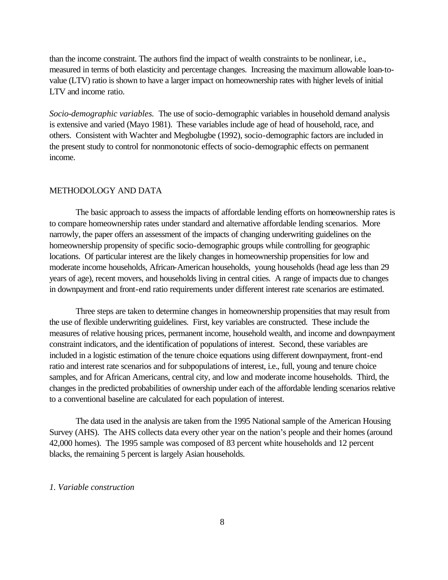than the income constraint. The authors find the impact of wealth constraints to be nonlinear, i.e., measured in terms of both elasticity and percentage changes. Increasing the maximum allowable loan-tovalue (LTV) ratio is shown to have a larger impact on homeownership rates with higher levels of initial LTV and income ratio.

*Socio-demographic variables.* The use of socio-demographic variables in household demand analysis is extensive and varied (Mayo 1981). These variables include age of head of household, race, and others. Consistent with Wachter and Megbolugbe (1992), socio-demographic factors are included in the present study to control for nonmonotonic effects of socio-demographic effects on permanent income.

## METHODOLOGY AND DATA

The basic approach to assess the impacts of affordable lending efforts on homeownership rates is to compare homeownership rates under standard and alternative affordable lending scenarios. More narrowly, the paper offers an assessment of the impacts of changing underwriting guidelines on the homeownership propensity of specific socio-demographic groups while controlling for geographic locations. Of particular interest are the likely changes in homeownership propensities for low and moderate income households, African-American households, young households (head age less than 29 years of age), recent movers, and households living in central cities. A range of impacts due to changes in downpayment and front-end ratio requirements under different interest rate scenarios are estimated.

Three steps are taken to determine changes in homeownership propensities that may result from the use of flexible underwriting guidelines. First, key variables are constructed. These include the measures of relative housing prices, permanent income, household wealth, and income and downpayment constraint indicators, and the identification of populations of interest. Second, these variables are included in a logistic estimation of the tenure choice equations using different downpayment, front-end ratio and interest rate scenarios and for subpopulations of interest, i.e., full, young and tenure choice samples, and for African Americans, central city, and low and moderate income households. Third, the changes in the predicted probabilities of ownership under each of the affordable lending scenarios relative to a conventional baseline are calculated for each population of interest.

The data used in the analysis are taken from the 1995 National sample of the American Housing Survey (AHS). The AHS collects data every other year on the nation's people and their homes (around 42,000 homes). The 1995 sample was composed of 83 percent white households and 12 percent blacks, the remaining 5 percent is largely Asian households.

## *1. Variable construction*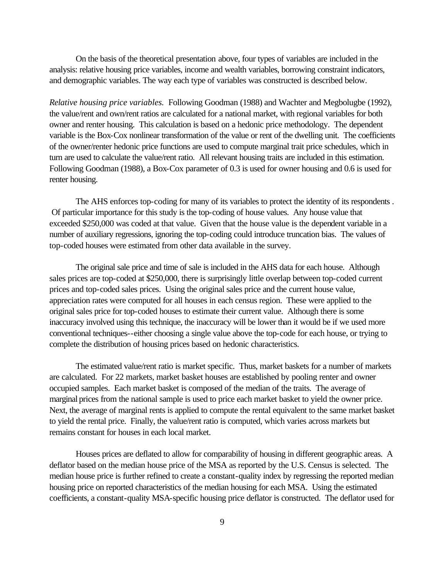On the basis of the theoretical presentation above, four types of variables are included in the analysis: relative housing price variables, income and wealth variables, borrowing constraint indicators, and demographic variables. The way each type of variables was constructed is described below.

*Relative housing price variables.* Following Goodman (1988) and Wachter and Megbolugbe (1992), the value/rent and own/rent ratios are calculated for a national market, with regional variables for both owner and renter housing. This calculation is based on a hedonic price methodology. The dependent variable is the Box-Cox nonlinear transformation of the value or rent of the dwelling unit. The coefficients of the owner/renter hedonic price functions are used to compute marginal trait price schedules, which in turn are used to calculate the value/rent ratio. All relevant housing traits are included in this estimation. Following Goodman (1988), a Box-Cox parameter of 0.3 is used for owner housing and 0.6 is used for renter housing.

The AHS enforces top-coding for many of its variables to protect the identity of its respondents . Of particular importance for this study is the top-coding of house values. Any house value that exceeded \$250,000 was coded at that value. Given that the house value is the dependent variable in a number of auxiliary regressions, ignoring the top-coding could introduce truncation bias. The values of top-coded houses were estimated from other data available in the survey.

The original sale price and time of sale is included in the AHS data for each house. Although sales prices are top-coded at \$250,000, there is surprisingly little overlap between top-coded current prices and top-coded sales prices. Using the original sales price and the current house value, appreciation rates were computed for all houses in each census region. These were applied to the original sales price for top-coded houses to estimate their current value. Although there is some inaccuracy involved using this technique, the inaccuracy will be lower than it would be if we used more conventional techniques--either choosing a single value above the top-code for each house, or trying to complete the distribution of housing prices based on hedonic characteristics.

The estimated value/rent ratio is market specific. Thus, market baskets for a number of markets are calculated. For 22 markets, market basket houses are established by pooling renter and owner occupied samples. Each market basket is composed of the median of the traits. The average of marginal prices from the national sample is used to price each market basket to yield the owner price. Next, the average of marginal rents is applied to compute the rental equivalent to the same market basket to yield the rental price. Finally, the value/rent ratio is computed, which varies across markets but remains constant for houses in each local market.

Houses prices are deflated to allow for comparability of housing in different geographic areas. A deflator based on the median house price of the MSA as reported by the U.S. Census is selected. The median house price is further refined to create a constant-quality index by regressing the reported median housing price on reported characteristics of the median housing for each MSA. Using the estimated coefficients, a constant-quality MSA-specific housing price deflator is constructed. The deflator used for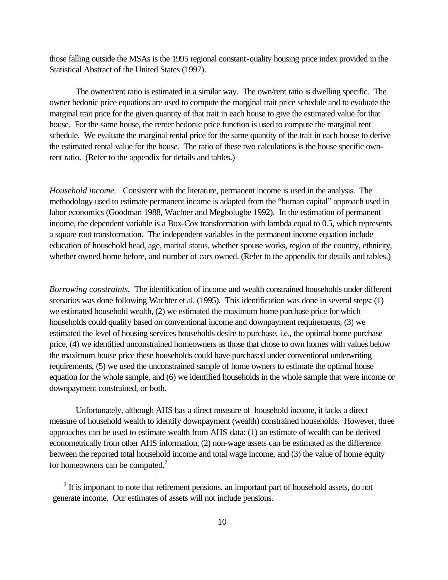those falling outside the MSAs is the 1995 regional constant-quality housing price index provided in the Statistical Abstract of the United States (1997).

The owner/rent ratio is estimated in a similar way. The own/rent ratio is dwelling specific. The owner hedonic price equations are used to compute the marginal trait price schedule and to evaluate the marginal trait price for the given quantity of that trait in each house to give the estimated value for that house. For the same house, the renter hedonic price function is used to compute the marginal rent schedule. We evaluate the marginal rental price for the same quantity of the trait in each house to derive the estimated rental value for the house. The ratio of these two calculations is the house specific ownrent ratio. (Refer to the appendix for details and tables.)

*Household income.* Consistent with the literature, permanent income is used in the analysis. The methodology used to estimate permanent income is adapted from the "human capital" approach used in labor economics (Goodman 1988, Wachter and Megbolugbe 1992). In the estimation of permanent income, the dependent variable is a Box-Cox transformation with lambda equal to 0.5, which represents a square root transformation. The independent variables in the permanent income equation include education of household head, age, marital status, whether spouse works, region of the country, ethnicity, whether owned home before, and number of cars owned. (Refer to the appendix for details and tables.)

*Borrowing constraints.* The identification of income and wealth constrained households under different scenarios was done following Wachter et al. (1995). This identification was done in several steps: (1) we estimated household wealth, (2) we estimated the maximum home purchase price for which households could qualify based on conventional income and downpayment requirements, (3) we estimated the level of housing services households desire to purchase, i.e., the optimal home purchase price, (4) we identified unconstrained homeowners as those that chose to own homes with values below the maximum house price these households could have purchased under conventional underwriting requirements, (5) we used the unconstrained sample of home owners to estimate the optimal house equation for the whole sample, and (6) we identified households in the whole sample that were income or downpayment constrained, or both.

Unfortunately, although AHS has a direct measure of household income, it lacks a direct measure of household wealth to identify downpayment (wealth) constrained households. However, three approaches can be used to estimate wealth from AHS data: (1) an estimate of wealth can be derived econometrically from other AHS information, (2) non-wage assets can be estimated as the difference between the reported total household income and total wage income, and (3) the value of home equity for homeowners can be computed. $2$ 

 $\overline{a}$ 

 $2<sup>2</sup>$  It is important to note that retirement pensions, an important part of household assets, do not generate income. Our estimates of assets will not include pensions.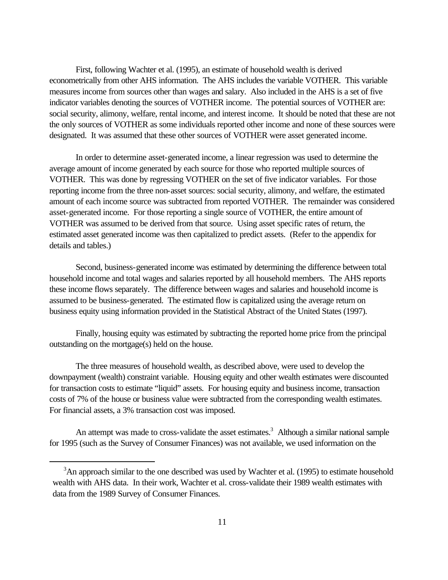First, following Wachter et al. (1995), an estimate of household wealth is derived econometrically from other AHS information. The AHS includes the variable VOTHER. This variable measures income from sources other than wages and salary. Also included in the AHS is a set of five indicator variables denoting the sources of VOTHER income. The potential sources of VOTHER are: social security, alimony, welfare, rental income, and interest income. It should be noted that these are not the only sources of VOTHER as some individuals reported other income and none of these sources were designated. It was assumed that these other sources of VOTHER were asset generated income.

In order to determine asset-generated income, a linear regression was used to determine the average amount of income generated by each source for those who reported multiple sources of VOTHER. This was done by regressing VOTHER on the set of five indicator variables. For those reporting income from the three non-asset sources: social security, alimony, and welfare, the estimated amount of each income source was subtracted from reported VOTHER. The remainder was considered asset-generated income. For those reporting a single source of VOTHER, the entire amount of VOTHER was assumed to be derived from that source. Using asset specific rates of return, the estimated asset generated income was then capitalized to predict assets. (Refer to the appendix for details and tables.)

Second, business-generated income was estimated by determining the difference between total household income and total wages and salaries reported by all household members. The AHS reports these income flows separately. The difference between wages and salaries and household income is assumed to be business-generated. The estimated flow is capitalized using the average return on business equity using information provided in the Statistical Abstract of the United States (1997).

Finally, housing equity was estimated by subtracting the reported home price from the principal outstanding on the mortgage(s) held on the house.

The three measures of household wealth, as described above, were used to develop the downpayment (wealth) constraint variable. Housing equity and other wealth estimates were discounted for transaction costs to estimate "liquid" assets. For housing equity and business income, transaction costs of 7% of the house or business value were subtracted from the corresponding wealth estimates. For financial assets, a 3% transaction cost was imposed.

An attempt was made to cross-validate the asset estimates.<sup>3</sup> Although a similar national sample for 1995 (such as the Survey of Consumer Finances) was not available, we used information on the

 $\overline{a}$ 

 $3$ An approach similar to the one described was used by Wachter et al. (1995) to estimate household wealth with AHS data. In their work, Wachter et al. cross-validate their 1989 wealth estimates with data from the 1989 Survey of Consumer Finances.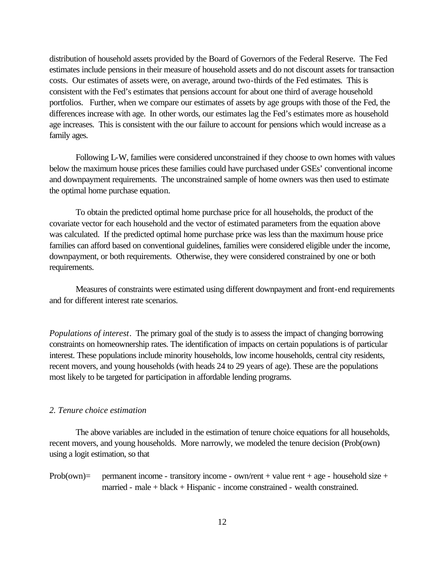distribution of household assets provided by the Board of Governors of the Federal Reserve. The Fed estimates include pensions in their measure of household assets and do not discount assets for transaction costs. Our estimates of assets were, on average, around two-thirds of the Fed estimates. This is consistent with the Fed's estimates that pensions account for about one third of average household portfolios. Further, when we compare our estimates of assets by age groups with those of the Fed, the differences increase with age. In other words, our estimates lag the Fed's estimates more as household age increases. This is consistent with the our failure to account for pensions which would increase as a family ages.

Following L-W, families were considered unconstrained if they choose to own homes with values below the maximum house prices these families could have purchased under GSEs' conventional income and downpayment requirements. The unconstrained sample of home owners was then used to estimate the optimal home purchase equation.

To obtain the predicted optimal home purchase price for all households, the product of the covariate vector for each household and the vector of estimated parameters from the equation above was calculated. If the predicted optimal home purchase price was less than the maximum house price families can afford based on conventional guidelines, families were considered eligible under the income, downpayment, or both requirements. Otherwise, they were considered constrained by one or both requirements.

Measures of constraints were estimated using different downpayment and front-end requirements and for different interest rate scenarios.

*Populations of interest*. The primary goal of the study is to assess the impact of changing borrowing constraints on homeownership rates. The identification of impacts on certain populations is of particular interest. These populations include minority households, low income households, central city residents, recent movers, and young households (with heads 24 to 29 years of age). These are the populations most likely to be targeted for participation in affordable lending programs.

## *2. Tenure choice estimation*

The above variables are included in the estimation of tenure choice equations for all households, recent movers, and young households. More narrowly, we modeled the tenure decision (Prob(own) using a logit estimation, so that

Prob(own)= permanent income - transitory income - own/rent + value rent + age - household size + married - male + black + Hispanic - income constrained - wealth constrained.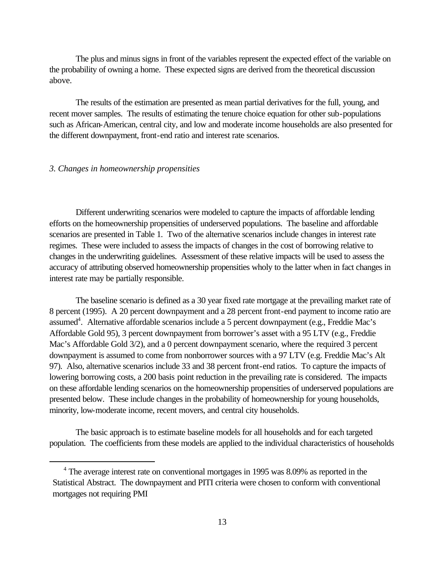The plus and minus signs in front of the variables represent the expected effect of the variable on the probability of owning a home. These expected signs are derived from the theoretical discussion above.

The results of the estimation are presented as mean partial derivatives for the full, young, and recent mover samples. The results of estimating the tenure choice equation for other sub-populations such as African-American, central city, and low and moderate income households are also presented for the different downpayment, front-end ratio and interest rate scenarios.

## *3. Changes in homeownership propensities*

 $\overline{a}$ 

Different underwriting scenarios were modeled to capture the impacts of affordable lending efforts on the homeownership propensities of underserved populations. The baseline and affordable scenarios are presented in Table 1. Two of the alternative scenarios include changes in interest rate regimes. These were included to assess the impacts of changes in the cost of borrowing relative to changes in the underwriting guidelines. Assessment of these relative impacts will be used to assess the accuracy of attributing observed homeownership propensities wholy to the latter when in fact changes in interest rate may be partially responsible.

The baseline scenario is defined as a 30 year fixed rate mortgage at the prevailing market rate of 8 percent (1995). A 20 percent downpayment and a 28 percent front-end payment to income ratio are assumed<sup>4</sup>. Alternative affordable scenarios include a 5 percent downpayment (e.g., Freddie Mac's Affordable Gold 95), 3 percent downpayment from borrower's asset with a 95 LTV (e.g., Freddie Mac's Affordable Gold 3/2), and a 0 percent downpayment scenario, where the required 3 percent downpayment is assumed to come from nonborrower sources with a 97 LTV (e.g. Freddie Mac's Alt 97). Also, alternative scenarios include 33 and 38 percent front-end ratios. To capture the impacts of lowering borrowing costs, a 200 basis point reduction in the prevailing rate is considered. The impacts on these affordable lending scenarios on the homeownership propensities of underserved populations are presented below. These include changes in the probability of homeownership for young households, minority, low-moderate income, recent movers, and central city households.

The basic approach is to estimate baseline models for all households and for each targeted population. The coefficients from these models are applied to the individual characteristics of households

<sup>&</sup>lt;sup>4</sup> The average interest rate on conventional mortgages in 1995 was 8.09% as reported in the Statistical Abstract. The downpayment and PITI criteria were chosen to conform with conventional mortgages not requiring PMI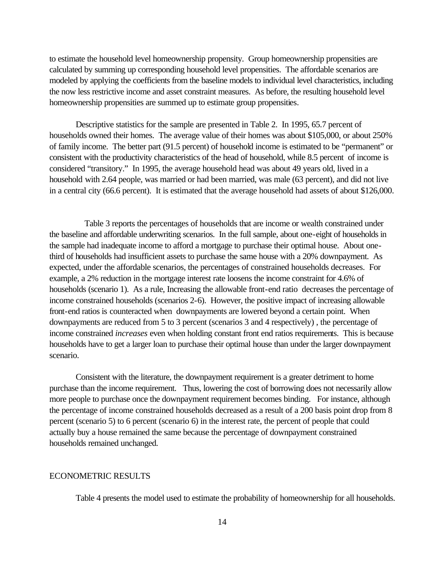to estimate the household level homeownership propensity. Group homeownership propensities are calculated by summing up corresponding household level propensities. The affordable scenarios are modeled by applying the coefficients from the baseline models to individual level characteristics, including the now less restrictive income and asset constraint measures. As before, the resulting household level homeownership propensities are summed up to estimate group propensities.

Descriptive statistics for the sample are presented in Table 2. In 1995, 65.7 percent of households owned their homes. The average value of their homes was about \$105,000, or about 250% of family income. The better part (91.5 percent) of household income is estimated to be "permanent" or consistent with the productivity characteristics of the head of household, while 8.5 percent of income is considered "transitory." In 1995, the average household head was about 49 years old, lived in a household with 2.64 people, was married or had been married, was male (63 percent), and did not live in a central city (66.6 percent). It is estimated that the average household had assets of about \$126,000.

 Table 3 reports the percentages of households that are income or wealth constrained under the baseline and affordable underwriting scenarios. In the full sample, about one-eight of households in the sample had inadequate income to afford a mortgage to purchase their optimal house. About onethird of households had insufficient assets to purchase the same house with a 20% downpayment. As expected, under the affordable scenarios, the percentages of constrained households decreases. For example, a 2% reduction in the mortgage interest rate loosens the income constraint for 4.6% of households (scenario 1). As a rule, Increasing the allowable front-end ratio decreases the percentage of income constrained households (scenarios 2-6). However, the positive impact of increasing allowable front-end ratios is counteracted when downpayments are lowered beyond a certain point. When downpayments are reduced from 5 to 3 percent (scenarios 3 and 4 respectively) , the percentage of income constrained *increases* even when holding constant front end ratios requirements. This is because households have to get a larger loan to purchase their optimal house than under the larger downpayment scenario.

Consistent with the literature, the downpayment requirement is a greater detriment to home purchase than the income requirement. Thus, lowering the cost of borrowing does not necessarily allow more people to purchase once the downpayment requirement becomes binding. For instance, although the percentage of income constrained households decreased as a result of a 200 basis point drop from 8 percent (scenario 5) to 6 percent (scenario 6) in the interest rate, the percent of people that could actually buy a house remained the same because the percentage of downpayment constrained households remained unchanged.

## ECONOMETRIC RESULTS

Table 4 presents the model used to estimate the probability of homeownership for all households.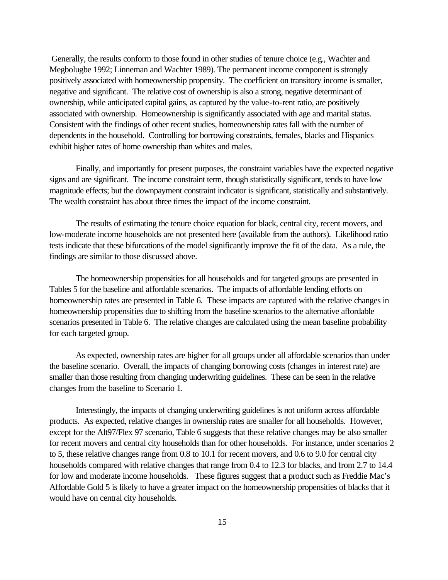Generally, the results conform to those found in other studies of tenure choice (e.g., Wachter and Megbolugbe 1992; Linneman and Wachter 1989). The permanent income component is strongly positively associated with homeownership propensity. The coefficient on transitory income is smaller, negative and significant. The relative cost of ownership is also a strong, negative determinant of ownership, while anticipated capital gains, as captured by the value-to-rent ratio, are positively associated with ownership. Homeownership is significantly associated with age and marital status. Consistent with the findings of other recent studies, homeownership rates fall with the number of dependents in the household. Controlling for borrowing constraints, females, blacks and Hispanics exhibit higher rates of home ownership than whites and males.

Finally, and importantly for present purposes, the constraint variables have the expected negative signs and are significant. The income constraint term, though statistically significant, tends to have low magnitude effects; but the downpayment constraint indicator is significant, statistically and substantively. The wealth constraint has about three times the impact of the income constraint.

The results of estimating the tenure choice equation for black, central city, recent movers, and low-moderate income households are not presented here (available from the authors). Likelihood ratio tests indicate that these bifurcations of the model significantly improve the fit of the data. As a rule, the findings are similar to those discussed above.

The homeownership propensities for all households and for targeted groups are presented in Tables 5 for the baseline and affordable scenarios. The impacts of affordable lending efforts on homeownership rates are presented in Table 6. These impacts are captured with the relative changes in homeownership propensities due to shifting from the baseline scenarios to the alternative affordable scenarios presented in Table 6. The relative changes are calculated using the mean baseline probability for each targeted group.

As expected, ownership rates are higher for all groups under all affordable scenarios than under the baseline scenario. Overall, the impacts of changing borrowing costs (changes in interest rate) are smaller than those resulting from changing underwriting guidelines. These can be seen in the relative changes from the baseline to Scenario 1.

Interestingly, the impacts of changing underwriting guidelines is not uniform across affordable products. As expected, relative changes in ownership rates are smaller for all households. However, except for the Alt97/Flex 97 scenario, Table 6 suggests that these relative changes may be also smaller for recent movers and central city households than for other households. For instance, under scenarios 2 to 5, these relative changes range from 0.8 to 10.1 for recent movers, and 0.6 to 9.0 for central city households compared with relative changes that range from 0.4 to 12.3 for blacks, and from 2.7 to 14.4 for low and moderate income households. These figures suggest that a product such as Freddie Mac's Affordable Gold 5 is likely to have a greater impact on the homeownership propensities of blacks that it would have on central city households.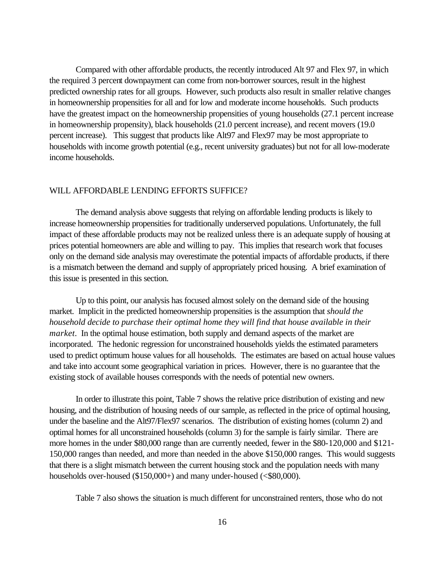Compared with other affordable products, the recently introduced Alt 97 and Flex 97, in which the required 3 percent downpayment can come from non-borrower sources, result in the highest predicted ownership rates for all groups. However, such products also result in smaller relative changes in homeownership propensities for all and for low and moderate income households. Such products have the greatest impact on the homeownership propensities of young households (27.1 percent increase in homeownership propensity), black households (21.0 percent increase), and recent movers (19.0 percent increase). This suggest that products like Alt97 and Flex97 may be most appropriate to households with income growth potential (e.g., recent university graduates) but not for all low-moderate income households.

## WILL AFFORDABLE LENDING EFFORTS SUFFICE?

The demand analysis above suggests that relying on affordable lending products is likely to increase homeownership propensities for traditionally underserved populations. Unfortunately, the full impact of these affordable products may not be realized unless there is an adequate supply of housing at prices potential homeowners are able and willing to pay. This implies that research work that focuses only on the demand side analysis may overestimate the potential impacts of affordable products, if there is a mismatch between the demand and supply of appropriately priced housing. A brief examination of this issue is presented in this section.

Up to this point, our analysis has focused almost solely on the demand side of the housing market. Implicit in the predicted homeownership propensities is the assumption that *should the household decide to purchase their optimal home they will find that house available in their market.* In the optimal house estimation, both supply and demand aspects of the market are incorporated. The hedonic regression for unconstrained households yields the estimated parameters used to predict optimum house values for all households. The estimates are based on actual house values and take into account some geographical variation in prices. However, there is no guarantee that the existing stock of available houses corresponds with the needs of potential new owners.

In order to illustrate this point, Table 7 shows the relative price distribution of existing and new housing, and the distribution of housing needs of our sample, as reflected in the price of optimal housing, under the baseline and the Alt97/Flex97 scenarios. The distribution of existing homes (column 2) and optimal homes for all unconstrained households (column 3) for the sample is fairly similar. There are more homes in the under \$80,000 range than are currently needed, fewer in the \$80-120,000 and \$121- 150,000 ranges than needed, and more than needed in the above \$150,000 ranges. This would suggests that there is a slight mismatch between the current housing stock and the population needs with many households over-housed (\$150,000+) and many under-housed (<\$80,000).

Table 7 also shows the situation is much different for unconstrained renters, those who do not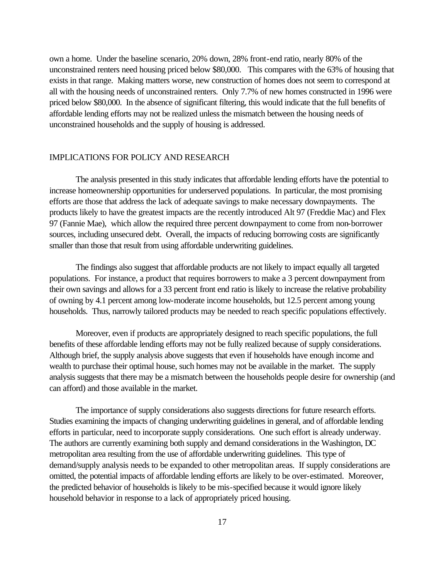own a home. Under the baseline scenario, 20% down, 28% front-end ratio, nearly 80% of the unconstrained renters need housing priced below \$80,000. This compares with the 63% of housing that exists in that range. Making matters worse, new construction of homes does not seem to correspond at all with the housing needs of unconstrained renters. Only 7.7% of new homes constructed in 1996 were priced below \$80,000. In the absence of significant filtering, this would indicate that the full benefits of affordable lending efforts may not be realized unless the mismatch between the housing needs of unconstrained households and the supply of housing is addressed.

## IMPLICATIONS FOR POLICY AND RESEARCH

The analysis presented in this study indicates that affordable lending efforts have the potential to increase homeownership opportunities for underserved populations. In particular, the most promising efforts are those that address the lack of adequate savings to make necessary downpayments. The products likely to have the greatest impacts are the recently introduced Alt 97 (Freddie Mac) and Flex 97 (Fannie Mae), which allow the required three percent downpayment to come from non-borrower sources, including unsecured debt. Overall, the impacts of reducing borrowing costs are significantly smaller than those that result from using affordable underwriting guidelines.

The findings also suggest that affordable products are not likely to impact equally all targeted populations. For instance, a product that requires borrowers to make a 3 percent downpayment from their own savings and allows for a 33 percent front end ratio is likely to increase the relative probability of owning by 4.1 percent among low-moderate income households, but 12.5 percent among young households. Thus, narrowly tailored products may be needed to reach specific populations effectively.

Moreover, even if products are appropriately designed to reach specific populations, the full benefits of these affordable lending efforts may not be fully realized because of supply considerations. Although brief, the supply analysis above suggests that even if households have enough income and wealth to purchase their optimal house, such homes may not be available in the market. The supply analysis suggests that there may be a mismatch between the households people desire for ownership (and can afford) and those available in the market.

The importance of supply considerations also suggests directions for future research efforts. Studies examining the impacts of changing underwriting guidelines in general, and of affordable lending efforts in particular, need to incorporate supply considerations. One such effort is already underway. The authors are currently examining both supply and demand considerations in the Washington, DC metropolitan area resulting from the use of affordable underwriting guidelines. This type of demand/supply analysis needs to be expanded to other metropolitan areas. If supply considerations are omitted, the potential impacts of affordable lending efforts are likely to be over-estimated. Moreover, the predicted behavior of households is likely to be mis-specified because it would ignore likely household behavior in response to a lack of appropriately priced housing.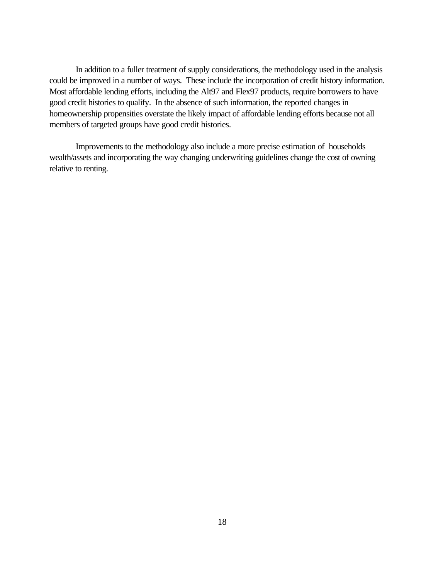In addition to a fuller treatment of supply considerations, the methodology used in the analysis could be improved in a number of ways. These include the incorporation of credit history information. Most affordable lending efforts, including the Alt97 and Flex97 products, require borrowers to have good credit histories to qualify. In the absence of such information, the reported changes in homeownership propensities overstate the likely impact of affordable lending efforts because not all members of targeted groups have good credit histories.

Improvements to the methodology also include a more precise estimation of households wealth/assets and incorporating the way changing underwriting guidelines change the cost of owning relative to renting.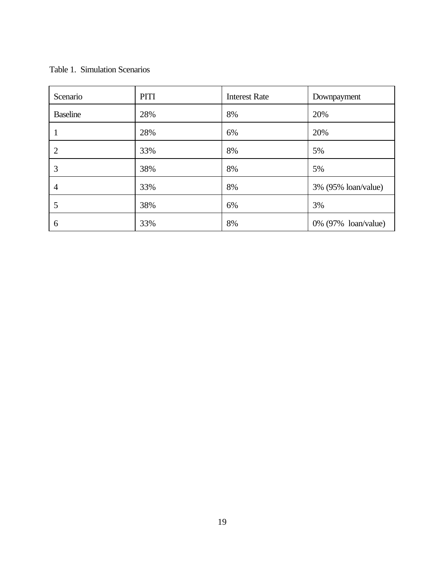## Table 1. Simulation Scenarios

| Scenario        | <b>PITI</b> | <b>Interest Rate</b> | Downpayment         |
|-----------------|-------------|----------------------|---------------------|
| <b>Baseline</b> | 28%         | 8%                   | 20%                 |
|                 | 28%         | 6%                   | 20%                 |
| $\overline{2}$  | 33%         | 8%                   | 5%                  |
| 3               | 38%         | 8%                   | 5%                  |
| $\overline{4}$  | 33%         | 8%                   | 3% (95% loan/value) |
| 5               | 38%         | 6%                   | 3%                  |
| 6               | 33%         | 8%                   | 0% (97% loan/value) |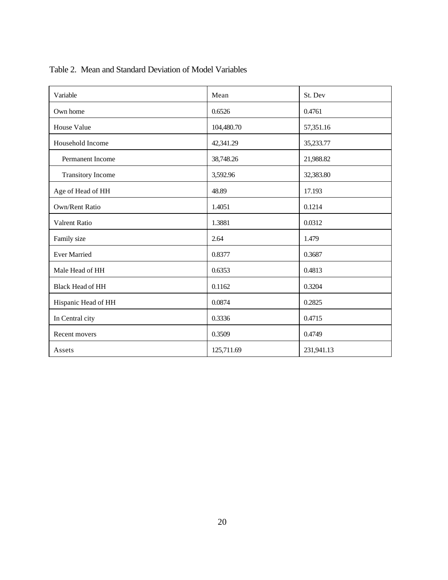| Variable                 | Mean       | St. Dev    |
|--------------------------|------------|------------|
| Own home                 | 0.6526     | 0.4761     |
| House Value              | 104,480.70 | 57,351.16  |
| Household Income         | 42,341.29  | 35,233.77  |
| <b>Permanent Income</b>  | 38,748.26  | 21,988.82  |
| <b>Transitory Income</b> | 3,592.96   | 32,383.80  |
| Age of Head of HH        | 48.89      | 17.193     |
| Own/Rent Ratio           | 1.4051     | 0.1214     |
| Valrent Ratio            | 1.3881     | 0.0312     |
| Family size              | 2.64       | 1.479      |
| <b>Ever Married</b>      | 0.8377     | 0.3687     |
| Male Head of HH          | 0.6353     | 0.4813     |
| Black Head of HH         | 0.1162     | 0.3204     |
| Hispanic Head of HH      | 0.0874     | 0.2825     |
| In Central city          | 0.3336     | 0.4715     |
| Recent movers            | 0.3509     | 0.4749     |
| Assets                   | 125,711.69 | 231,941.13 |

## Table 2. Mean and Standard Deviation of Model Variables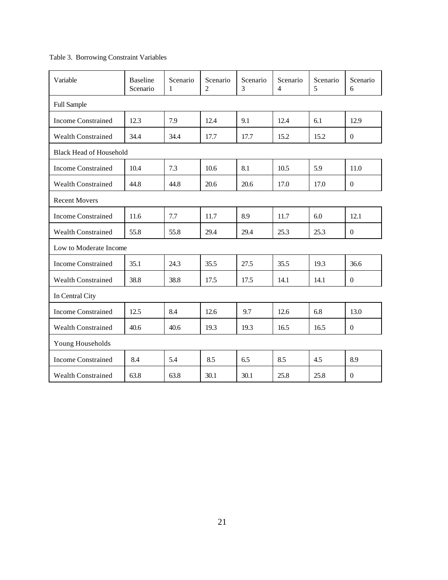## Table 3. Borrowing Constraint Variables

| Variable                       | <b>Baseline</b><br>Scenario | Scenario<br>1 | Scenario<br>$\overline{2}$ | Scenario<br>3 | Scenario<br>$\overline{4}$ | Scenario<br>5 | Scenario<br>6    |
|--------------------------------|-----------------------------|---------------|----------------------------|---------------|----------------------------|---------------|------------------|
| <b>Full Sample</b>             |                             |               |                            |               |                            |               |                  |
| <b>Income Constrained</b>      | 12.3                        | 7.9           | 12.4                       | 9.1           | 12.4                       | 6.1           | 12.9             |
| <b>Wealth Constrained</b>      | 34.4                        | 34.4          | 17.7                       | 17.7          | 15.2                       | 15.2          | $\theta$         |
| <b>Black Head of Household</b> |                             |               |                            |               |                            |               |                  |
| <b>Income Constrained</b>      | 10.4                        | 7.3           | 10.6                       | 8.1           | 10.5                       | 5.9           | 11.0             |
| <b>Wealth Constrained</b>      | 44.8                        | 44.8          | 20.6                       | 20.6          | 17.0                       | 17.0          | $\theta$         |
| <b>Recent Movers</b>           |                             |               |                            |               |                            |               |                  |
| <b>Income Constrained</b>      | 11.6                        | 7.7           | 11.7                       | 8.9           | 11.7                       | 6.0           | 12.1             |
| <b>Wealth Constrained</b>      | 55.8                        | 55.8          | 29.4                       | 29.4          | 25.3                       | 25.3          | $\boldsymbol{0}$ |
| Low to Moderate Income         |                             |               |                            |               |                            |               |                  |
| <b>Income Constrained</b>      | 35.1                        | 24.3          | 35.5                       | 27.5          | 35.5                       | 19.3          | 36.6             |
| <b>Wealth Constrained</b>      | 38.8                        | 38.8          | 17.5                       | 17.5          | 14.1                       | 14.1          | $\theta$         |
| In Central City                |                             |               |                            |               |                            |               |                  |
| <b>Income Constrained</b>      | 12.5                        | 8.4           | 12.6                       | 9.7           | 12.6                       | 6.8           | 13.0             |
| <b>Wealth Constrained</b>      | 40.6                        | 40.6          | 19.3                       | 19.3          | 16.5                       | 16.5          | $\boldsymbol{0}$ |
| Young Households               |                             |               |                            |               |                            |               |                  |
| <b>Income Constrained</b>      | 8.4                         | 5.4           | 8.5                        | 6.5           | 8.5                        | 4.5           | 8.9              |
| <b>Wealth Constrained</b>      | 63.8                        | 63.8          | 30.1                       | 30.1          | 25.8                       | 25.8          | $\theta$         |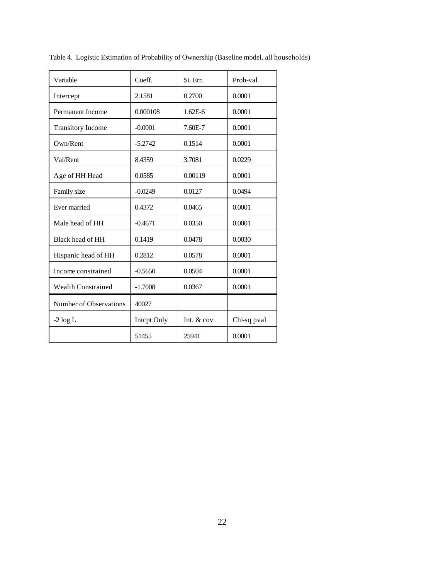| Variable                  | Coeff.             | St. Err.     | Prob-val    |
|---------------------------|--------------------|--------------|-------------|
| Intercept                 | 2.1581             | 0.2700       | 0.0001      |
| <b>Permanent Income</b>   | 0.000108           | $1.62E-6$    | 0.0001      |
| <b>Transitory Income</b>  | $-0.0001$          | 7.60E-7      | 0.0001      |
| Own/Rent                  | $-5.2742$          | 0.1514       | 0.0001      |
| Val/Rent                  | 8.4359             | 3.7081       | 0.0229      |
| Age of HH Head            | 0.0585             | 0.00119      | 0.0001      |
| Family size               | $-0.0249$          | 0.0127       | 0.0494      |
| Ever married              | 0.4372             | 0.0465       | 0.0001      |
| Male head of HH           | $-0.4671$          | 0.0350       | 0.0001      |
| Black head of HH          | 0.1419             | 0.0478       | 0.0030      |
| Hispanic head of HH       | 0.2812             | 0.0578       | 0.0001      |
| Income constrained        | $-0.5650$          | 0.0504       | 0.0001      |
| <b>Wealth Constrained</b> | $-1.7008$          | 0.0367       | 0.0001      |
| Number of Observations    | 40027              |              |             |
| $-2 \log L$               | <b>Intept Only</b> | Int. $& cov$ | Chi-sq pval |
|                           | 51455              | 25941        | 0.0001      |

Table 4. Logistic Estimation of Probability of Ownership (Baseline model, all households)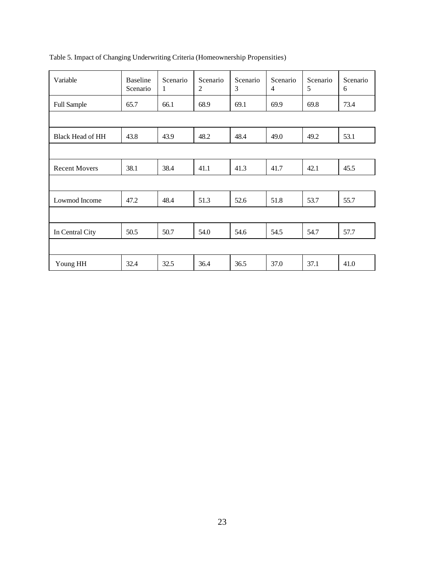| Variable                | <b>Baseline</b><br>Scenario | Scenario<br>1 | Scenario<br>2 | Scenario<br>3 | Scenario<br>$\overline{4}$ | Scenario<br>5 | Scenario<br>6 |
|-------------------------|-----------------------------|---------------|---------------|---------------|----------------------------|---------------|---------------|
| <b>Full Sample</b>      | 65.7                        | 66.1          | 68.9          | 69.1          | 69.9                       | 69.8          | 73.4          |
|                         |                             |               |               |               |                            |               |               |
| <b>Black Head of HH</b> | 43.8                        | 43.9          | 48.2          | 48.4          | 49.0                       | 49.2          | 53.1          |
|                         |                             |               |               |               |                            |               |               |
| <b>Recent Movers</b>    | 38.1                        | 38.4          | 41.1          | 41.3          | 41.7                       | 42.1          | 45.5          |
|                         |                             |               |               |               |                            |               |               |
| Lowmod Income           | 47.2                        | 48.4          | 51.3          | 52.6          | 51.8                       | 53.7          | 55.7          |
|                         |                             |               |               |               |                            |               |               |
| In Central City         | 50.5                        | 50.7          | 54.0          | 54.6          | 54.5                       | 54.7          | 57.7          |
|                         |                             |               |               |               |                            |               |               |
| Young HH                | 32.4                        | 32.5          | 36.4          | 36.5          | 37.0                       | 37.1          | 41.0          |

Table 5. Impact of Changing Underwriting Criteria (Homeownership Propensities)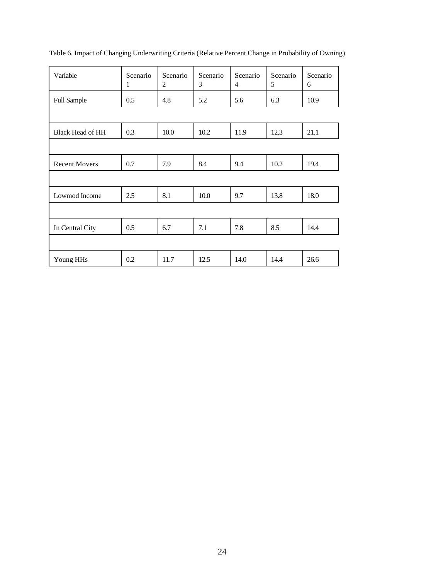| Variable                | Scenario<br>1 | Scenario<br>$\overline{2}$ | Scenario<br>3 | Scenario<br>$\overline{4}$ | Scenario<br>5 | Scenario<br>6 |
|-------------------------|---------------|----------------------------|---------------|----------------------------|---------------|---------------|
| <b>Full Sample</b>      | 0.5           | 4.8                        | 5.2           | 5.6                        | 6.3           | 10.9          |
|                         |               |                            |               |                            |               |               |
| <b>Black Head of HH</b> | 0.3           | 10.0                       | 10.2          | 11.9                       | 12.3          | 21.1          |
|                         |               |                            |               |                            |               |               |
| <b>Recent Movers</b>    | 0.7           | 7.9                        | 8.4           | 9.4                        | 10.2          | 19.4          |
|                         |               |                            |               |                            |               |               |
| Lowmod Income           | 2.5           | 8.1                        | 10.0          | 9.7                        | 13.8          | 18.0          |
|                         |               |                            |               |                            |               |               |
| In Central City         | 0.5           | 6.7                        | 7.1           | 7.8                        | 8.5           | 14.4          |
|                         |               |                            |               |                            |               |               |
| Young HHs               | 0.2           | 11.7                       | 12.5          | 14.0                       | 14.4          | 26.6          |

Table 6. Impact of Changing Underwriting Criteria (Relative Percent Change in Probability of Owning)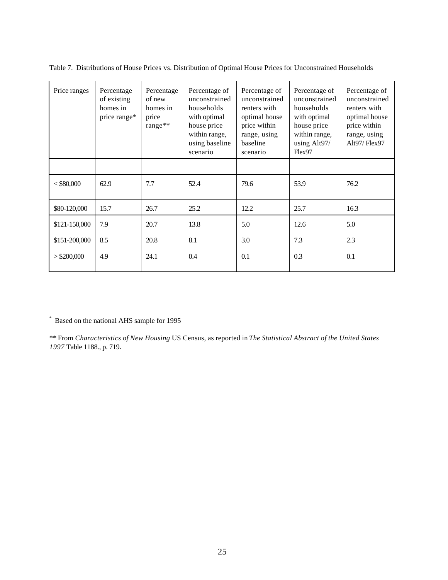| Price ranges  | Percentage<br>of existing<br>homes in<br>price range* | Percentage<br>of new<br>homes in<br>price<br>range** | Percentage of<br>unconstrained<br>households<br>with optimal<br>house price<br>within range,<br>using baseline<br>scenario | Percentage of<br>unconstrained<br>renters with<br>optimal house<br>price within<br>range, using<br>baseline<br>scenario | Percentage of<br>unconstrained<br>households<br>with optimal<br>house price<br>within range,<br>using Alt97/<br>Flex97 | Percentage of<br>unconstrained<br>renters with<br>optimal house<br>price within<br>range, using<br>Alt97/ $Flex97$ |
|---------------|-------------------------------------------------------|------------------------------------------------------|----------------------------------------------------------------------------------------------------------------------------|-------------------------------------------------------------------------------------------------------------------------|------------------------------------------------------------------------------------------------------------------------|--------------------------------------------------------------------------------------------------------------------|
|               |                                                       |                                                      |                                                                                                                            |                                                                                                                         |                                                                                                                        |                                                                                                                    |
| $<$ \$80,000  | 62.9                                                  | 7.7                                                  | 52.4                                                                                                                       | 79.6                                                                                                                    | 53.9                                                                                                                   | 76.2                                                                                                               |
| \$80-120,000  | 15.7                                                  | 26.7                                                 | 25.2                                                                                                                       | 12.2                                                                                                                    | 25.7                                                                                                                   | 16.3                                                                                                               |
| \$121-150,000 | 7.9                                                   | 20.7                                                 | 13.8                                                                                                                       | 5.0                                                                                                                     | 12.6                                                                                                                   | 5.0                                                                                                                |
| \$151-200,000 | 8.5                                                   | 20.8                                                 | 8.1                                                                                                                        | 3.0                                                                                                                     | 7.3                                                                                                                    | 2.3                                                                                                                |
| $>$ \$200,000 | 4.9                                                   | 24.1                                                 | 0.4                                                                                                                        | 0.1                                                                                                                     | 0.3                                                                                                                    | 0.1                                                                                                                |

Table 7. Distributions of House Prices vs. Distribution of Optimal House Prices for Unconstrained Households

\* Based on the national AHS sample for 1995

\*\* From *Characteristics of New Housing* US Census, as reported in *The Statistical Abstract of the United States 1997* Table 1188., p. 719.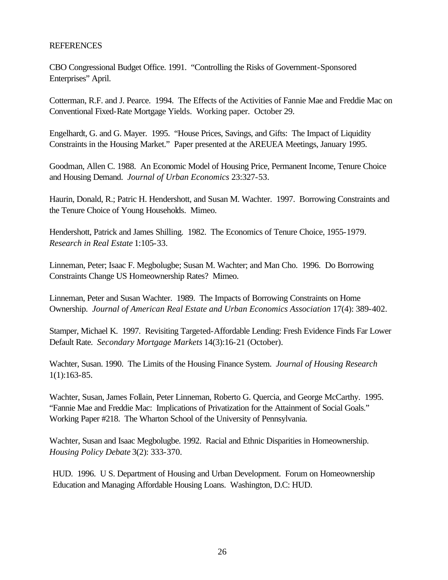## REFERENCES

CBO Congressional Budget Office. 1991. "Controlling the Risks of Government-Sponsored Enterprises" April.

Cotterman, R.F. and J. Pearce. 1994. The Effects of the Activities of Fannie Mae and Freddie Mac on Conventional Fixed-Rate Mortgage Yields. Working paper. October 29.

Engelhardt, G. and G. Mayer. 1995. "House Prices, Savings, and Gifts: The Impact of Liquidity Constraints in the Housing Market." Paper presented at the AREUEA Meetings, January 1995.

Goodman, Allen C. 1988. An Economic Model of Housing Price, Permanent Income, Tenure Choice and Housing Demand. *Journal of Urban Economics* 23:327-53.

Haurin, Donald, R.; Patric H. Hendershott, and Susan M. Wachter. 1997. Borrowing Constraints and the Tenure Choice of Young Households. Mimeo.

Hendershott, Patrick and James Shilling. 1982. The Economics of Tenure Choice, 1955-1979. *Research in Real Estate* 1:105-33.

Linneman, Peter; Isaac F. Megbolugbe; Susan M. Wachter; and Man Cho. 1996. Do Borrowing Constraints Change US Homeownership Rates? Mimeo.

Linneman, Peter and Susan Wachter. 1989. The Impacts of Borrowing Constraints on Home Ownership. *Journal of American Real Estate and Urban Economics Association* 17(4): 389-402.

Stamper, Michael K. 1997. Revisiting Targeted-Affordable Lending: Fresh Evidence Finds Far Lower Default Rate. *Secondary Mortgage Markets* 14(3):16-21 (October).

Wachter, Susan. 1990. The Limits of the Housing Finance System. *Journal of Housing Research* 1(1):163-85.

Wachter, Susan, James Follain, Peter Linneman, Roberto G. Quercia, and George McCarthy. 1995. "Fannie Mae and Freddie Mac: Implications of Privatization for the Attainment of Social Goals." Working Paper #218. The Wharton School of the University of Pennsylvania.

Wachter, Susan and Isaac Megbolugbe. 1992. Racial and Ethnic Disparities in Homeownership. *Housing Policy Debate* 3(2): 333-370.

HUD. 1996. U S. Department of Housing and Urban Development. Forum on Homeownership Education and Managing Affordable Housing Loans. Washington, D.C: HUD.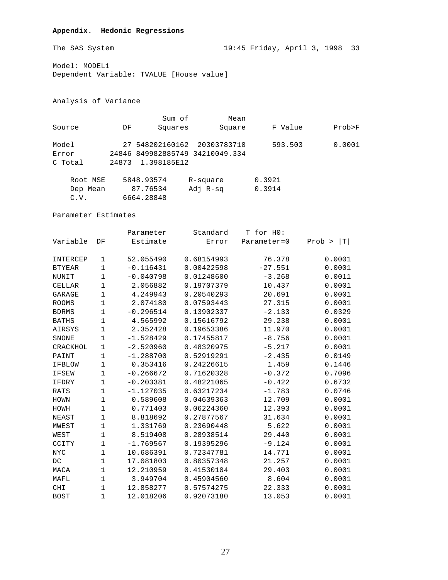## **Appendix. Hedonic Regressions**

Model: MODEL1

Dependent Variable: TVALUE [House value]

Analysis of Variance

|          |       | Sum of      | Mean                            |         |        |
|----------|-------|-------------|---------------------------------|---------|--------|
| Source   | DF    | Squares     | Square                          | F Value | Prob>F |
| Model    |       |             | 27 548202160162 20303783710     | 593.503 | 0.0001 |
| Error    |       |             | 24846 849982885749 34210049.334 |         |        |
| C Total  | 24873 | 1.398185E12 |                                 |         |        |
| Root MSE |       | 5848.93574  | R-square                        | 0.3921  |        |
| Dep Mean |       | 87.76534    | Adj R-sg                        | 0.3914  |        |

Parameter Estimates

C.V. 6664.28848

|               |             | Parameter   | Standard   | T for HO:   |              |
|---------------|-------------|-------------|------------|-------------|--------------|
| Variable      | DF          | Estimate    | Error      | Parameter=0 | Prob ><br> T |
|               |             |             |            |             |              |
| INTERCEP      | 1           | 52.055490   | 0.68154993 | 76.378      | 0.0001       |
| <b>BTYEAR</b> | $\mathbf 1$ | $-0.116431$ | 0.00422598 | $-27.551$   | 0.0001       |
| NUNIT         | $\mathbf 1$ | $-0.040798$ | 0.01248600 | $-3.268$    | 0.0011       |
| <b>CELLAR</b> | $\mathbf 1$ | 2.056882    | 0.19707379 | 10.437      | 0.0001       |
| GARAGE        | 1           | 4.249943    | 0.20540293 | 20.691      | 0.0001       |
| <b>ROOMS</b>  | $\mathbf 1$ | 2.074180    | 0.07593443 | 27.315      | 0.0001       |
| <b>BDRMS</b>  | $\mathbf 1$ | $-0.296514$ | 0.13902337 | $-2.133$    | 0.0329       |
| <b>BATHS</b>  | $\mathbf 1$ | 4.565992    | 0.15616792 | 29.238      | 0.0001       |
| AIRSYS        | $1\,$       | 2.352428    | 0.19653386 | 11.970      | 0.0001       |
| SNONE         | 1           | $-1.528429$ | 0.17455817 | $-8.756$    | 0.0001       |
| CRACKHOL      | $\mathbf 1$ | $-2.520960$ | 0.48320975 | $-5.217$    | 0.0001       |
| PAINT         | $\mathbf 1$ | $-1.288700$ | 0.52919291 | $-2.435$    | 0.0149       |
| <b>IFBLOW</b> | $\mathbf 1$ | 0.353416    | 0.24226615 | 1.459       | 0.1446       |
| <b>IFSEW</b>  | $1\,$       | $-0.266672$ | 0.71620328 | $-0.372$    | 0.7096       |
| IFDRY         | 1           | $-0.203381$ | 0.48221065 | $-0.422$    | 0.6732       |
| <b>RATS</b>   | $\mathbf 1$ | $-1.127035$ | 0.63217234 | $-1.783$    | 0.0746       |
| HOWN          | $1\,$       | 0.589608    | 0.04639363 | 12.709      | 0.0001       |
| HOWH          | $\mathbf 1$ | 0.771403    | 0.06224360 | 12.393      | 0.0001       |
| <b>NEAST</b>  | $1\,$       | 8.818692    | 0.27877567 | 31.634      | 0.0001       |
| MWEST         | $1\,$       | 1.331769    | 0.23690448 | 5.622       | 0.0001       |
| WEST          | $\mathbf 1$ | 8.519408    | 0.28938514 | 29.440      | 0.0001       |
| CCITY         | 1           | $-1.769567$ | 0.19395296 | $-9.124$    | 0.0001       |
| <b>NYC</b>    | $1\,$       | 10.686391   | 0.72347781 | 14.771      | 0.0001       |
| DC            | 1           | 17.081803   | 0.80357348 | 21.257      | 0.0001       |
| MACA          | $\mathbf 1$ | 12.210959   | 0.41530104 | 29.403      | 0.0001       |
| MAFL          | $\mathbf 1$ | 3.949704    | 0.45904560 | 8.604       | 0.0001       |
| <b>CHI</b>    | $\mathbf 1$ | 12.858277   | 0.57574275 | 22.333      | 0.0001       |
| <b>BOST</b>   | 1           | 12.018206   | 0.92073180 | 13.053      | 0.0001       |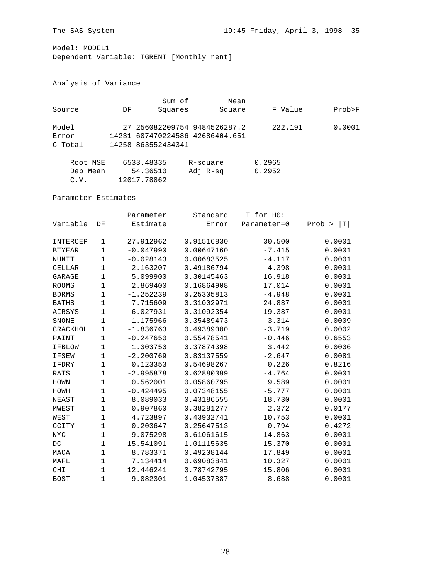Model: MODEL1

Dependent Variable: TGRENT [Monthly rent]

## Analysis of Variance

|          |    | Sum of             | Mean                            |         |        |
|----------|----|--------------------|---------------------------------|---------|--------|
| Source   | DF | Squares            | Square                          | F Value | Prob>F |
| Model    |    |                    | 27 256082209754 9484526287.2    | 222.191 | 0.0001 |
| Error    |    |                    | 14231 607470224586 42686404.651 |         |        |
| C Total  |    | 14258 863552434341 |                                 |         |        |
| Root MSE |    | 6533.48335         | R-square                        | 0.2965  |        |
| Dep Mean |    | 54.36510           | Adj R-sg                        | 0.2952  |        |

C.V. 12017.78862

Parameter Estimates

|               |             | Parameter   | Standard   | T for HO:   |              |
|---------------|-------------|-------------|------------|-------------|--------------|
| Variable      | DF          | Estimate    | Error      | Parameter=0 | Prob ><br> T |
| INTERCEP      | 1           | 27.912962   | 0.91516830 | 30.500      | 0.0001       |
| <b>BTYEAR</b> | $\mathbf 1$ | $-0.047990$ | 0.00647160 | $-7.415$    | 0.0001       |
| NUNIT         | $\mathbf 1$ | $-0.028143$ | 0.00683525 | $-4.117$    | 0.0001       |
| <b>CELLAR</b> | 1           | 2.163207    | 0.49186794 | 4.398       | 0.0001       |
| GARAGE        | $\mathbf 1$ | 5.099900    | 0.30145463 | 16.918      | 0.0001       |
| <b>ROOMS</b>  | 1           | 2.869400    | 0.16864908 | 17.014      | 0.0001       |
| <b>BDRMS</b>  | 1           | $-1.252239$ | 0.25305813 | $-4.948$    | 0.0001       |
| <b>BATHS</b>  | 1           | 7.715609    | 0.31002971 | 24.887      | 0.0001       |
| AIRSYS        | 1           | 6.027931    | 0.31092354 | 19.387      | 0.0001       |
| SNONE         | 1           | $-1.175966$ | 0.35489473 | $-3.314$    | 0.0009       |
| CRACKHOL      | 1           | $-1.836763$ | 0.49389000 | $-3.719$    | 0.0002       |
| PAINT         | $\mathbf 1$ | $-0.247650$ | 0.55478541 | $-0.446$    | 0.6553       |
| <b>IFBLOW</b> | 1           | 1.303750    | 0.37874398 | 3.442       | 0.0006       |
| <b>IFSEW</b>  | $\mathbf 1$ | $-2.200769$ | 0.83137559 | $-2.647$    | 0.0081       |
| IFDRY         | 1           | 0.123353    | 0.54698267 | 0.226       | 0.8216       |
| <b>RATS</b>   | $\mathbf 1$ | $-2.995878$ | 0.62880399 | $-4.764$    | 0.0001       |
| HOWN          | $\mathbf 1$ | 0.562001    | 0.05860795 | 9.589       | 0.0001       |
| HOWH          | $\mathbf 1$ | $-0.424495$ | 0.07348155 | $-5.777$    | 0.0001       |
| NEAST         | $\mathbf 1$ | 8.089033    | 0.43186555 | 18.730      | 0.0001       |
| MWEST         | 1           | 0.907860    | 0.38281277 | 2.372       | 0.0177       |
| WEST          | $\mathbf 1$ | 4.723897    | 0.43932741 | 10.753      | 0.0001       |
| CCITY         | $\mathbf 1$ | $-0.203647$ | 0.25647513 | $-0.794$    | 0.4272       |
| <b>NYC</b>    | $\mathbf 1$ | 9.075298    | 0.61061615 | 14.863      | 0.0001       |
| DC            | $\mathbf 1$ | 15.541091   | 1.01115635 | 15.370      | 0.0001       |
| MACA          | 1           | 8.783371    | 0.49208144 | 17.849      | 0.0001       |
| MAFL          | 1           | 7.134414    | 0.69083841 | 10.327      | 0.0001       |
| CHI           | 1           | 12.446241   | 0.78742795 | 15.806      | 0.0001       |
| <b>BOST</b>   | 1           | 9.082301    | 1.04537887 | 8.688       | 0.0001       |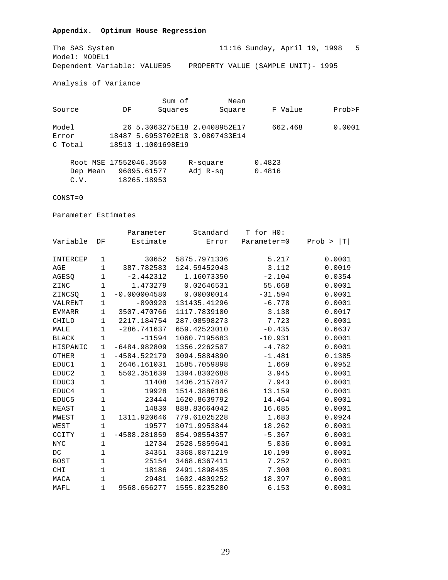## **Appendix. Optimum House Regression**

The SAS System 11:16 Sunday, April 19, 1998 5<br>Model: MODEL1 Model: MODEL1 Dependent Variable: VALUE95 PROPERTY VALUE (SAMPLE UNIT)- 1995

Analysis of Variance

|                        |    | Sum of             | Mean                            |         |        |
|------------------------|----|--------------------|---------------------------------|---------|--------|
| Source                 | DF | Squares            | Square                          | F Value | Prob>F |
| Model                  |    |                    | 26 5.3063275E18 2.0408952E17    | 662.468 | 0.0001 |
| Error                  |    |                    | 18487 5.6953702E18 3.0807433E14 |         |        |
| C Total                |    | 18513 1.1001698E19 |                                 |         |        |
| Root MSE 17552046.3550 |    |                    | R-square                        | 0.4823  |        |
| Dep Mean               |    | 96095.61577        | Adj R-sq                        | 0.4816  |        |

C.V. 18265.18953

## CONST=0

Parameter Estimates

|                   |              | Parameter      | Standard     | T for HO:   |                       |
|-------------------|--------------|----------------|--------------|-------------|-----------------------|
| Variable          | DF           | Estimate       | Error        | Parameter=0 | $Prob$ ><br>$ \,T\, $ |
|                   |              |                |              |             |                       |
| INTERCEP          | 1            | 30652          | 5875.7971336 | 5.217       | 0.0001                |
| AGE               | $\mathbf 1$  | 387.782583     | 124.59452043 | 3.112       | 0.0019                |
| AGESQ             | $\mathbf 1$  | $-2.442312$    | 1.16073350   | $-2.104$    | 0.0354                |
| ZINC              | $1\,$        | 1.473279       | 0.02646531   | 55.668      | 0.0001                |
| ZINCSO            | $\mathbf 1$  | $-0.000004580$ | 0.00000014   | $-31.594$   | 0.0001                |
| VALRENT           | $\mathbf 1$  | $-890920$      | 131435.41296 | $-6.778$    | 0.0001                |
| <b>EVMARR</b>     | $\mathbf 1$  | 3507.470766    | 1117.7839100 | 3.138       | 0.0017                |
| CHILD             | $\mathbf 1$  | 2217.184754    | 287.08598273 | 7.723       | 0.0001                |
| MALE              | 1            | $-286.741637$  | 659.42523010 | $-0.435$    | 0.6637                |
| <b>BLACK</b>      | $1\,$        | $-11594$       | 1060.7195683 | $-10.931$   | 0.0001                |
| HISPANIC          | $\mathbf{1}$ | $-6484.982809$ | 1356.2262507 | $-4.782$    | 0.0001                |
| OTHER             | 1            | $-4584.522179$ | 3094.5884890 | $-1.481$    | 0.1385                |
| EDUC1             | $\mathbf 1$  | 2646.161031    | 1585.7059898 | 1.669       | 0.0952                |
| EDUC <sub>2</sub> | 1            | 5502.351639    | 1394.8302688 | 3.945       | 0.0001                |
| EDUC3             | 1            | 11408          | 1436.2157847 | 7.943       | 0.0001                |
| EDUC4             | $1\,$        | 19928          | 1514.3886106 | 13.159      | 0.0001                |
| EDUC5             | $\mathbf 1$  | 23444          | 1620.8639792 | 14.464      | 0.0001                |
| NEAST             | $1\,$        | 14830          | 888.83664042 | 16.685      | 0.0001                |
| MWEST             | $\mathbf 1$  | 1311.920646    | 779.61025228 | 1.683       | 0.0924                |
| WEST              | $1\,$        | 19577          | 1071.9953844 | 18.262      | 0.0001                |
| CCITY             | $\mathbf 1$  | $-4588.281859$ | 854.98554357 | $-5.367$    | 0.0001                |
| $_{\mathrm{NYC}}$ | $1\,$        | 12734          | 2528.5859641 | 5.036       | 0.0001                |
| $DC$              | $1\,$        | 34351          | 3368.0871219 | 10.199      | 0.0001                |
| <b>BOST</b>       | $1\,$        | 25154          | 3468.6367411 | 7.252       | 0.0001                |
| <b>CHI</b>        | $\mathbf 1$  | 18186          | 2491.1898435 | 7.300       | 0.0001                |
| MACA              | 1            | 29481          | 1602.4809252 | 18.397      | 0.0001                |
| MAFL              | $\mathbf 1$  | 9568.656277    | 1555.0235200 | 6.153       | 0.0001                |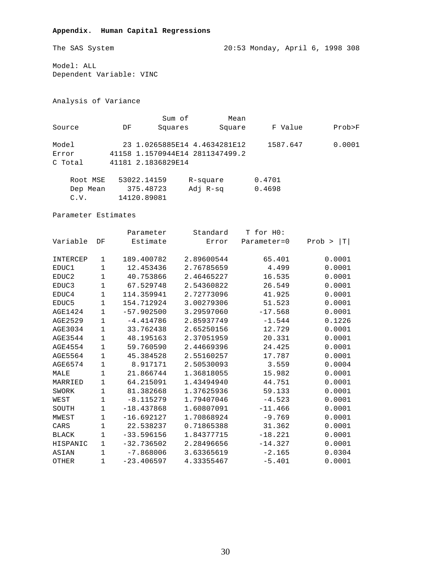## **Appendix. Human Capital Regressions**

The SAS System 20:53 Monday, April 6, 1998 308

Model: ALL Dependent Variable: VINC

Analysis of Variance

|          |    | Sum of             | Mean                            |          |        |
|----------|----|--------------------|---------------------------------|----------|--------|
| Source   | DF | Squares            | Square                          | F Value  | Prob>F |
| Model    |    |                    | 23 1.0265885E14 4.4634281E12    | 1587.647 | 0.0001 |
| Error    |    |                    | 41158 1.1570944E14 2811347499.2 |          |        |
| C Total  |    | 41181 2.1836829E14 |                                 |          |        |
| Root MSE |    | 53022.14159        | R-square                        | 0.4701   |        |

 Dep Mean 375.48723 Adj R-sq 0.4698 C.V. 14120.89081

Parameter Estimates

|                |             | Parameter    | Standard   | T for HO:   |              |
|----------------|-------------|--------------|------------|-------------|--------------|
| Variable       | DF          | Estimate     | Error      | Parameter=0 | T <br>Prob > |
| INTERCEP       | 1           | 189.400782   | 2.89600544 | 65.401      | 0.0001       |
| EDUC1          | $\mathbf 1$ | 12.453436    | 2.76785659 | 4.499       | 0.0001       |
| EDUC2          | 1           | 40.753866    | 2.46465227 | 16.535      | 0.0001       |
| EDUC3          | $\mathbf 1$ | 67.529748    | 2.54360822 | 26.549      | 0.0001       |
| EDUC4          | 1           | 114.359941   | 2.72773096 | 41.925      | 0.0001       |
| EDUC5          | 1           | 154.712924   | 3.00279306 | 51.523      | 0.0001       |
| <b>AGE1424</b> | 1           | $-57.902500$ | 3.29597060 | $-17.568$   | 0.0001       |
| AGE2529        | $\mathbf 1$ | $-4.414786$  | 2.85937749 | $-1.544$    | 0.1226       |
| AGE3034        | 1           | 33.762438    | 2.65250156 | 12.729      | 0.0001       |
| <b>AGE3544</b> | 1           | 48.195163    | 2.37051959 | 20.331      | 0.0001       |
| <b>AGE4554</b> | 1           | 59.760590    | 2.44669396 | 24.425      | 0.0001       |
| <b>AGE5564</b> | 1           | 45.384528    | 2.55160257 | 17.787      | 0.0001       |
| AGE6574        | $\mathbf 1$ | 8.917171     | 2.50530093 | 3.559       | 0.0004       |
| MALE           | 1           | 21.866744    | 1.36818055 | 15.982      | 0.0001       |
| MARRIED        | 1           | 64.215091    | 1.43494940 | 44.751      | 0.0001       |
| SWORK          | 1           | 81.382668    | 1.37625936 | 59.133      | 0.0001       |
| WEST           | 1           | $-8.115279$  | 1.79407046 | $-4.523$    | 0.0001       |
| SOUTH          | $\mathbf 1$ | $-18.437868$ | 1.60807091 | $-11.466$   | 0.0001       |
| MWEST          | 1           | $-16.692127$ | 1.70868924 | $-9.769$    | 0.0001       |
| CARS           | 1           | 22.538237    | 0.71865388 | 31.362      | 0.0001       |
| <b>BLACK</b>   | 1           | $-33.596156$ | 1.84377715 | $-18.221$   | 0.0001       |
| HISPANIC       | 1           | $-32.736502$ | 2.28496656 | $-14.327$   | 0.0001       |
| ASIAN          | $\mathbf 1$ | $-7.868006$  | 3.63365619 | $-2.165$    | 0.0304       |
| OTHER          | 1           | $-23.406597$ | 4.33355467 | $-5.401$    | 0.0001       |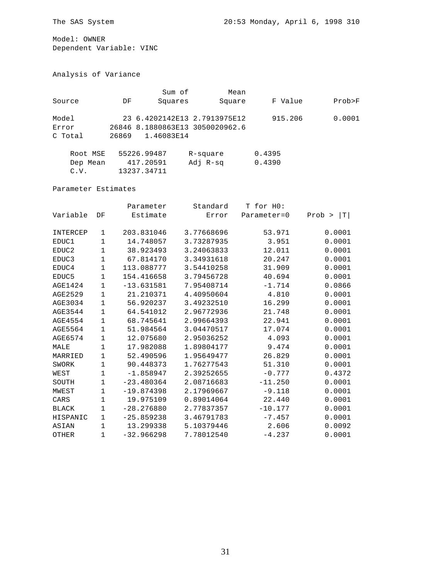Model: OWNER Dependent Variable: VINC

Analysis of Variance

|          |       | Sum of      | Mean                            |         |        |
|----------|-------|-------------|---------------------------------|---------|--------|
| Source   | DF    | Squares     | Square                          | F Value | Prob>F |
| Model    |       |             | 23 6.4202142E13 2.7913975E12    | 915.206 | 0.0001 |
| Error    |       |             | 26846 8.1880863E13 3050020962.6 |         |        |
| C Total  | 26869 | 1.46083E14  |                                 |         |        |
| Root MSE |       | 55226.99487 | R-square                        | 0.4395  |        |
| Dep Mean |       | 417.20591   | Adj R-sg                        | 0.4390  |        |

Parameter Estimates

C.V. 13237.34711

|                |             | Parameter    | Standard   | T for HO:   |              |
|----------------|-------------|--------------|------------|-------------|--------------|
| Variable       | DF          | Estimate     | Error      | Parameter=0 | T <br>Prob > |
|                |             |              |            |             |              |
| INTERCEP       | 1           | 203.831046   | 3.77668696 | 53.971      | 0.0001       |
| EDUC1          | $\mathbf 1$ | 14.748057    | 3.73287935 | 3.951       | 0.0001       |
| EDUC2          | $\mathbf 1$ | 38.923493    | 3.24063833 | 12.011      | 0.0001       |
| EDUC3          | $\mathbf 1$ | 67.814170    | 3.34931618 | 20.247      | 0.0001       |
| EDUC4          | $\mathbf 1$ | 113.088777   | 3.54410258 | 31.909      | 0.0001       |
| EDUC5          | 1           | 154.416658   | 3.79456728 | 40.694      | 0.0001       |
| <b>AGE1424</b> | 1           | $-13.631581$ | 7.95408714 | $-1.714$    | 0.0866       |
| AGE2529        | $\mathbf 1$ | 21.210371    | 4.40950604 | 4.810       | 0.0001       |
| AGE3034        | $\mathbf 1$ | 56.920237    | 3.49232510 | 16.299      | 0.0001       |
| AGE3544        | 1           | 64.541012    | 2.96772936 | 21.748      | 0.0001       |
| AGE4554        | 1           | 68.745641    | 2.99664393 | 22.941      | 0.0001       |
| AGE5564        | 1           | 51.984564    | 3.04470517 | 17.074      | 0.0001       |
| AGE6574        | $\mathbf 1$ | 12.075680    | 2.95036252 | 4.093       | 0.0001       |
| MALE           | $\mathbf 1$ | 17.982088    | 1.89804177 | 9.474       | 0.0001       |
| MARRIED        | $\mathbf 1$ | 52.490596    | 1.95649477 | 26.829      | 0.0001       |
| SWORK          | $\mathbf 1$ | 90.448373    | 1.76277543 | 51.310      | 0.0001       |
| WEST           | $\mathbf 1$ | $-1.858947$  | 2.39252655 | $-0.777$    | 0.4372       |
| SOUTH          | $\mathbf 1$ | $-23.480364$ | 2.08716683 | $-11.250$   | 0.0001       |
| MWEST          | 1           | $-19.874398$ | 2.17969667 | $-9.118$    | 0.0001       |
| CARS           | $\mathbf 1$ | 19.975109    | 0.89014064 | 22.440      | 0.0001       |
| <b>BLACK</b>   | 1           | $-28.276880$ | 2.77837357 | $-10.177$   | 0.0001       |
| HISPANIC       | 1           | $-25.859238$ | 3.46791783 | $-7.457$    | 0.0001       |
| ASIAN          | $\mathbf 1$ | 13.299338    | 5.10379446 | 2.606       | 0.0092       |
| OTHER          | 1           | $-32.966298$ | 7.78012540 | $-4.237$    | 0.0001       |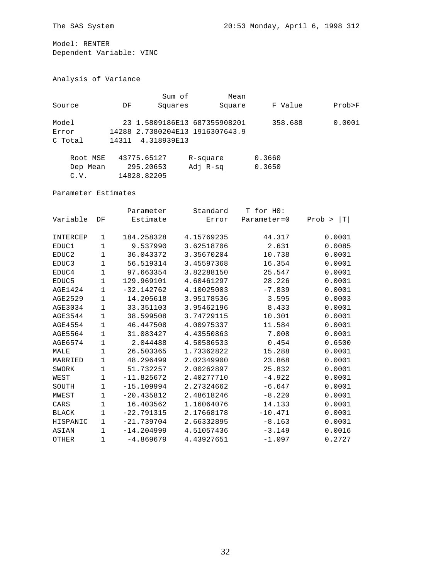Model: RENTER Dependent Variable: VINC

Analysis of Variance

|                           |       | Sum of                   | Mean                                                            |                  |        |
|---------------------------|-------|--------------------------|-----------------------------------------------------------------|------------------|--------|
| Source                    | DF    | Squares                  | Square                                                          | F Value          | Prob>F |
| Model<br>Error<br>C Total | 14311 | 4.318939E13              | 23 1.5809186E13 687355908201<br>14288 2.7380204E13 1916307643.9 | 358.688          | 0.0001 |
| Root MSE<br>Dep Mean      |       | 43775.65127<br>295.20653 | R-square<br>Adj R-sg                                            | 0.3660<br>0.3650 |        |

Parameter Estimates

C.V. 14828.82205

|                |             | Parameter    | Standard   | T for HO:   |                      |
|----------------|-------------|--------------|------------|-------------|----------------------|
| Variable       | DF          | Estimate     | Error      | Parameter=0 | $T \mid$<br>$Prob$ > |
| INTERCEP       | 1           | 184.258328   | 4.15769235 | 44.317      | 0.0001               |
| EDUC1          | 1           | 9.537990     | 3.62518706 | 2.631       | 0.0085               |
| EDUC2          | 1           | 36.043372    | 3.35670204 | 10.738      | 0.0001               |
| EDUC3          | 1           | 56.519314    | 3.45597368 | 16.354      | 0.0001               |
| EDUC4          | $\mathbf 1$ | 97.663354    | 3.82288150 | 25.547      | 0.0001               |
| EDUC5          | 1           | 129.969101   | 4.60461297 | 28.226      | 0.0001               |
| <b>AGE1424</b> | 1           | $-32.142762$ | 4.10025003 | $-7.839$    | 0.0001               |
| AGE2529        | 1           | 14.205618    | 3.95178536 | 3.595       | 0.0003               |
| AGE3034        | 1           | 33.351103    | 3.95462196 | 8.433       | 0.0001               |
| AGE3544        | $\mathbf 1$ | 38.599508    | 3.74729115 | 10.301      | 0.0001               |
| <b>AGE4554</b> | 1           | 46.447508    | 4.00975337 | 11.584      | 0.0001               |
| <b>AGE5564</b> | 1           | 31.083427    | 4.43550863 | 7.008       | 0.0001               |
| AGE6574        | 1           | 2.044488     | 4.50586533 | 0.454       | 0.6500               |
| MALE           | $\mathbf 1$ | 26.503365    | 1.73362822 | 15.288      | 0.0001               |
| MARRIED        | 1           | 48.296499    | 2.02349900 | 23.868      | 0.0001               |
| SWORK          | 1           | 51.732257    | 2.00262897 | 25.832      | 0.0001               |
| WEST           | $\mathbf 1$ | $-11.825672$ | 2.40277710 | $-4.922$    | 0.0001               |
| SOUTH          | 1           | $-15.109994$ | 2.27324662 | $-6.647$    | 0.0001               |
| MWEST          | $\mathbf 1$ | $-20.435812$ | 2.48618246 | $-8.220$    | 0.0001               |
| CARS           | 1           | 16.403562    | 1.16064076 | 14.133      | 0.0001               |
| <b>BLACK</b>   | 1           | $-22.791315$ | 2.17668178 | $-10.471$   | 0.0001               |
| HISPANIC       | 1           | $-21.739704$ | 2.66332895 | $-8.163$    | 0.0001               |
| ASIAN          | $\mathbf 1$ | $-14.204999$ | 4.51057436 | $-3.149$    | 0.0016               |
| OTHER          | 1           | $-4.869679$  | 4.43927651 | $-1.097$    | 0.2727               |